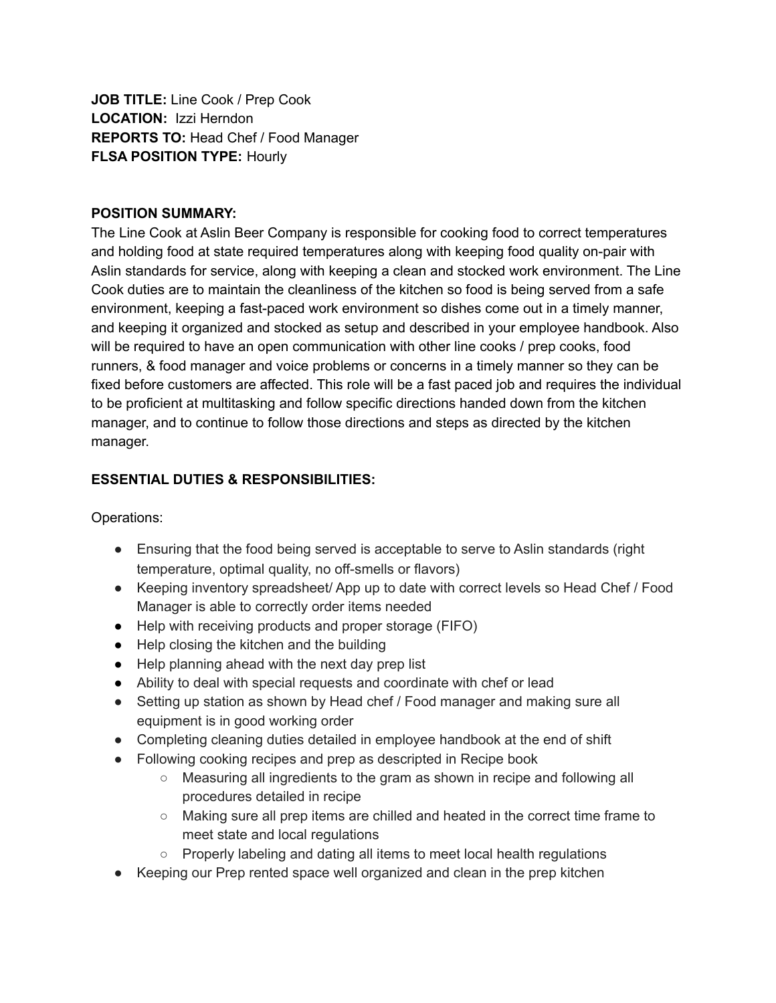**JOB TITLE:** Line Cook / Prep Cook **LOCATION:** Izzi Herndon **REPORTS TO:** Head Chef / Food Manager **FLSA POSITION TYPE:** Hourly

### **POSITION SUMMARY:**

The Line Cook at Aslin Beer Company is responsible for cooking food to correct temperatures and holding food at state required temperatures along with keeping food quality on-pair with Aslin standards for service, along with keeping a clean and stocked work environment. The Line Cook duties are to maintain the cleanliness of the kitchen so food is being served from a safe environment, keeping a fast-paced work environment so dishes come out in a timely manner, and keeping it organized and stocked as setup and described in your employee handbook. Also will be required to have an open communication with other line cooks / prep cooks, food runners, & food manager and voice problems or concerns in a timely manner so they can be fixed before customers are affected. This role will be a fast paced job and requires the individual to be proficient at multitasking and follow specific directions handed down from the kitchen manager, and to continue to follow those directions and steps as directed by the kitchen manager.

### **ESSENTIAL DUTIES & RESPONSIBILITIES:**

Operations:

- Ensuring that the food being served is acceptable to serve to Aslin standards (right temperature, optimal quality, no off-smells or flavors)
- Keeping inventory spreadsheet/ App up to date with correct levels so Head Chef / Food Manager is able to correctly order items needed
- Help with receiving products and proper storage (FIFO)
- Help closing the kitchen and the building
- Help planning ahead with the next day prep list
- Ability to deal with special requests and coordinate with chef or lead
- Setting up station as shown by Head chef / Food manager and making sure all equipment is in good working order
- Completing cleaning duties detailed in employee handbook at the end of shift
- Following cooking recipes and prep as descripted in Recipe book
	- Measuring all ingredients to the gram as shown in recipe and following all procedures detailed in recipe
	- Making sure all prep items are chilled and heated in the correct time frame to meet state and local regulations
	- Properly labeling and dating all items to meet local health regulations
- Keeping our Prep rented space well organized and clean in the prep kitchen